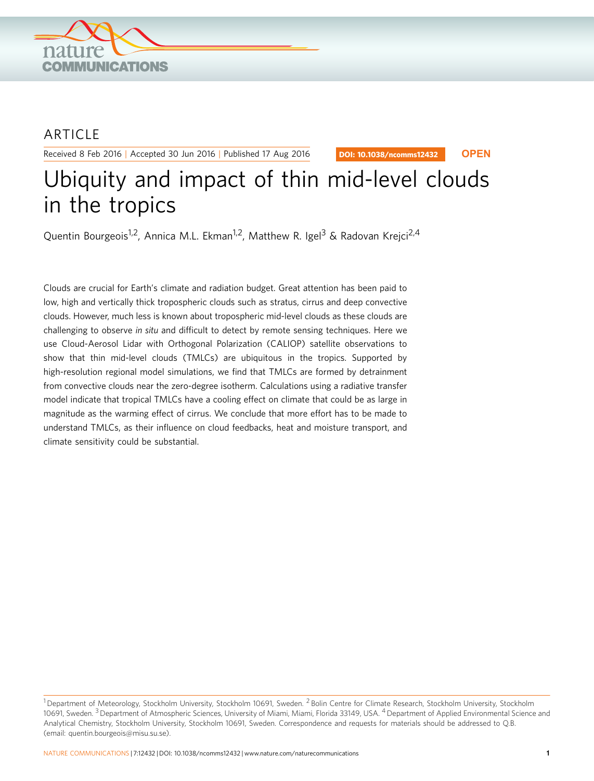

## ARTICLE

Received 8 Feb 2016 | Accepted 30 Jun 2016 | Published 17 Aug 2016

DOI: 10.1038/ncomms12432 **OPEN**

# Ubiquity and impact of thin mid-level clouds in the tropics

Quentin Bourgeois<sup>1,2</sup>, Annica M.L. Ekman<sup>1,2</sup>, Matthew R. Igel<sup>3</sup> & Radovan Krejci<sup>2,4</sup>

Clouds are crucial for Earth's climate and radiation budget. Great attention has been paid to low, high and vertically thick tropospheric clouds such as stratus, cirrus and deep convective clouds. However, much less is known about tropospheric mid-level clouds as these clouds are challenging to observe in situ and difficult to detect by remote sensing techniques. Here we use Cloud-Aerosol Lidar with Orthogonal Polarization (CALIOP) satellite observations to show that thin mid-level clouds (TMLCs) are ubiquitous in the tropics. Supported by high-resolution regional model simulations, we find that TMLCs are formed by detrainment from convective clouds near the zero-degree isotherm. Calculations using a radiative transfer model indicate that tropical TMLCs have a cooling effect on climate that could be as large in magnitude as the warming effect of cirrus. We conclude that more effort has to be made to understand TMLCs, as their influence on cloud feedbacks, heat and moisture transport, and climate sensitivity could be substantial.

<sup>&</sup>lt;sup>1</sup> Department of Meteorology, Stockholm University, Stockholm 10691, Sweden. <sup>2</sup> Bolin Centre for Climate Research, Stockholm University, Stockholm 10691, Sweden. <sup>3</sup> Department of Atmospheric Sciences, University of Miami, Miami, Florida 33149, USA. <sup>4</sup> Department of Applied Environmental Science and Analytical Chemistry, Stockholm University, Stockholm 10691, Sweden. Correspondence and requests for materials should be addressed to Q.B. (email: [quentin.bourgeois@misu.su.se\)](mailto:quentin.bourgeois@misu.su.se).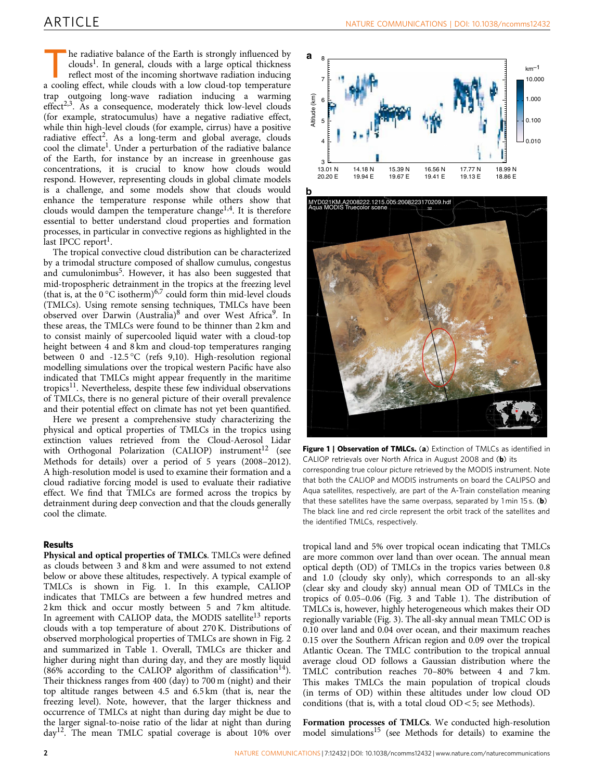he radiative balance of the Earth is strongly influenced by  $clouds<sup>1</sup>$ . In general, clouds with a large optical thickness reflect most of the incoming shortwave radiation inducing a cooling effect, while clouds with a low cloud-top temperature trap outgoing long-wave radiation inducing a warming effect<sup>2,3</sup>. As a consequence, moderately thick low-level clouds (for example, stratocumulus) have a negative radiative effect, while thin high-level clouds (for example, cirrus) have a positive radiative effect<sup>2</sup>. As a long-term and global average, clouds cool the climate<sup>[1](#page-4-0)</sup>. Under a perturbation of the radiative balance of the Earth, for instance by an increase in greenhouse gas concentrations, it is crucial to know how clouds would respond. However, representing clouds in global climate models is a challenge, and some models show that clouds would enhance the temperature response while others show that clouds would dampen the temperature change<sup>1,4</sup>. It is therefore essential to better understand cloud properties and formation processes, in particular in convective regions as highlighted in the last IPCC report<sup>1</sup>.

The tropical convective cloud distribution can be characterized by a trimodal structure composed of shallow cumulus, congestus and cumulonimbus<sup>5</sup>. However, it has also been suggested that mid-tropospheric detrainment in the tropics at the freezing level (that is, at the  $0^{\circ}$ C isotherm)<sup>[6,7](#page-4-0)</sup> could form thin mid-level clouds (TMLCs). Using remote sensing techniques, TMLCs have been observed over Darwin (Australia)<sup>[8](#page-4-0)</sup> and over West Africa<sup>9</sup>. In these areas, the TMLCs were found to be thinner than 2 km and to consist mainly of supercooled liquid water with a cloud-top height between 4 and 8 km and cloud-top temperatures ranging between 0 and -12.5 °C [\(refs 9,10](#page-4-0)). High-resolution regional modelling simulations over the tropical western Pacific have also indicated that TMLCs might appear frequently in the maritime tropics $^{11}$ . Nevertheless, despite these few individual observations of TMLCs, there is no general picture of their overall prevalence and their potential effect on climate has not yet been quantified.

Here we present a comprehensive study characterizing the physical and optical properties of TMLCs in the tropics using extinction values retrieved from the Cloud-Aerosol Lidar with Orthogonal Polarization (CALIOP) instrument<sup>12</sup> (see Methods for details) over a period of 5 years (2008–2012). A high-resolution model is used to examine their formation and a cloud radiative forcing model is used to evaluate their radiative effect. We find that TMLCs are formed across the tropics by detrainment during deep convection and that the clouds generally cool the climate.

### Results

Physical and optical properties of TMLCs. TMLCs were defined as clouds between 3 and 8 km and were assumed to not extend below or above these altitudes, respectively. A typical example of TMLCs is shown in Fig. 1. In this example, CALIOP indicates that TMLCs are between a few hundred metres and 2 km thick and occur mostly between 5 and 7 km altitude. In agreement with CALIOP data, the MODIS satellite<sup>13</sup> reports clouds with a top temperature of about 270 K. Distributions of observed morphological properties of TMLCs are shown in [Fig. 2](#page-2-0) and summarized in [Table 1.](#page-2-0) Overall, TMLCs are thicker and higher during night than during day, and they are mostly liquid (86% according to the CALIOP algorithm of classification<sup>[14](#page-4-0)</sup>). Their thickness ranges from 400 (day) to 700 m (night) and their top altitude ranges between 4.5 and 6.5 km (that is, near the freezing level). Note, however, that the larger thickness and occurrence of TMLCs at night than during day might be due to the larger signal-to-noise ratio of the lidar at night than during day[12](#page-4-0). The mean TMLC spatial coverage is about 10% over





Figure 1 | Observation of TMLCs. (a) Extinction of TMLCs as identified in CALIOP retrievals over North Africa in August 2008 and (b) its corresponding true colour picture retrieved by the MODIS instrument. Note that both the CALIOP and MODIS instruments on board the CALIPSO and Aqua satellites, respectively, are part of the A-Train constellation meaning that these satellites have the same overpass, separated by  $1 \text{min } 15 \text{ s.}$  (b) The black line and red circle represent the orbit track of the satellites and the identified TMLCs, respectively.

tropical land and 5% over tropical ocean indicating that TMLCs are more common over land than over ocean. The annual mean optical depth (OD) of TMLCs in the tropics varies between 0.8 and 1.0 (cloudy sky only), which corresponds to an all-sky (clear sky and cloudy sky) annual mean OD of TMLCs in the tropics of 0.05–0.06 ([Fig. 3](#page-2-0) and [Table 1](#page-2-0)). The distribution of TMLCs is, however, highly heterogeneous which makes their OD regionally variable [\(Fig. 3\)](#page-2-0). The all-sky annual mean TMLC OD is 0.10 over land and 0.04 over ocean, and their maximum reaches 0.15 over the Southern African region and 0.09 over the tropical Atlantic Ocean. The TMLC contribution to the tropical annual average cloud OD follows a Gaussian distribution where the TMLC contribution reaches 70–80% between 4 and 7 km. This makes TMLCs the main population of tropical clouds (in terms of OD) within these altitudes under low cloud OD conditions (that is, with a total cloud  $OD < 5$ ; see Methods).

Formation processes of TMLCs. We conducted high-resolution model simulations[15](#page-4-0) (see Methods for details) to examine the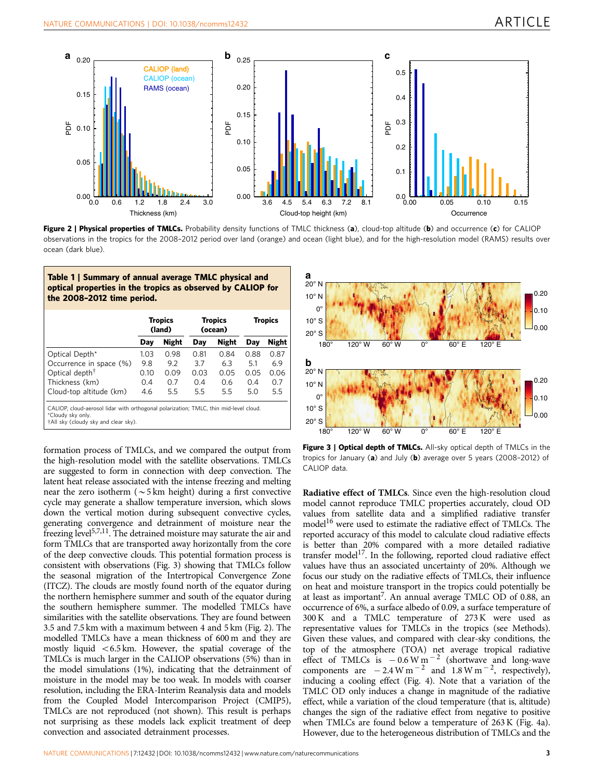<span id="page-2-0"></span>

Figure 2 | Physical properties of TMLCs. Probability density functions of TMLC thickness (a), cloud-top altitude (b) and occurrence (c) for CALIOP observations in the tropics for the 2008–2012 period over land (orange) and ocean (light blue), and for the high-resolution model (RAMS) results over ocean (dark blue).

| Table 1   Summary of annual average TMLC physical and<br>optical properties in the tropics as observed by CALIOP for<br>the 2008-2012 time period. |  |  |
|----------------------------------------------------------------------------------------------------------------------------------------------------|--|--|
|                                                                                                                                                    |  |  |

|                                                                                                                                                    | <b>Tropics</b><br>(land) |              | <b>Tropics</b><br>(ocean) |              | Tropics |              |
|----------------------------------------------------------------------------------------------------------------------------------------------------|--------------------------|--------------|---------------------------|--------------|---------|--------------|
|                                                                                                                                                    | Day                      | <b>Night</b> | Day                       | <b>Night</b> | Day     | <b>Night</b> |
| Optical Depth*                                                                                                                                     | 1.03                     | 0.98         | 0.81                      | 0.84         | 0.88    | 0.87         |
| Occurrence in space (%)                                                                                                                            | 9.8                      | 9.2          | 3.7                       | 6.3          | 5.1     | 6.9          |
| Optical depth <sup>†</sup>                                                                                                                         | 0.10                     | 0.09         | 0.03                      | 0.05         | 0.05    | 0.06         |
| Thickness (km)                                                                                                                                     | 0.4                      | 0.7          | 0.4                       | 0.6          | 0.4     | 0.7          |
| Cloud-top altitude (km)                                                                                                                            | 4.6                      | 5.5          | 5.5                       | 5.5          | 5.0     | 5.5          |
| CALIOP, cloud-aerosol lidar with orthogonal polarization; TMLC, thin mid-level cloud.<br>*Cloudy sky only.<br>†All sky (cloudy sky and clear sky). |                          |              |                           |              |         |              |

formation process of TMLCs, and we compared the output from the high-resolution model with the satellite observations. TMLCs are suggested to form in connection with deep convection. The latent heat release associated with the intense freezing and melting near the zero isotherm ( $\sim$ 5 km height) during a first convective cycle may generate a shallow temperature inversion, which slows down the vertical motion during subsequent convective cycles, generating convergence and detrainment of moisture near the freezing level<sup>[5,7,11](#page-4-0)</sup>. The detrained moisture may saturate the air and form TMLCs that are transported away horizontally from the core of the deep convective clouds. This potential formation process is consistent with observations (Fig. 3) showing that TMLCs follow the seasonal migration of the Intertropical Convergence Zone (ITCZ). The clouds are mostly found north of the equator during the northern hemisphere summer and south of the equator during the southern hemisphere summer. The modelled TMLCs have similarities with the satellite observations. They are found between 3.5 and 7.5 km with a maximum between 4 and 5 km (Fig. 2). The modelled TMLCs have a mean thickness of 600 m and they are mostly liquid  $<$  6.5 km. However, the spatial coverage of the TMLCs is much larger in the CALIOP observations (5%) than in the model simulations (1%), indicating that the detrainment of moisture in the model may be too weak. In models with coarser resolution, including the ERA-Interim Reanalysis data and models from the Coupled Model Intercomparison Project (CMIP5), TMLCs are not reproduced (not shown). This result is perhaps not surprising as these models lack explicit treatment of deep convection and associated detrainment processes.



Figure 3 | Optical depth of TMLCs. All-sky optical depth of TMLCs in the tropics for January (a) and July (b) average over 5 years (2008-2012) of CALIOP data.

Radiative effect of TMLCs. Since even the high-resolution cloud model cannot reproduce TMLC properties accurately, cloud OD values from satellite data and a simplified radiative transfer model<sup>[16](#page-4-0)</sup> were used to estimate the radiative effect of TMLCs. The reported accuracy of this model to calculate cloud radiative effects is better than 20% compared with a more detailed radiative transfer model<sup>17</sup>. In the following, reported cloud radiative effect values have thus an associated uncertainty of 20%. Although we focus our study on the radiative effects of TMLCs, their influence on heat and moisture transport in the tropics could potentially be at least as important<sup>[7](#page-4-0)</sup>. An annual average TMLC OD of 0.88, an occurrence of 6%, a surface albedo of 0.09, a surface temperature of 300 K and a TMLC temperature of 273 K were used as representative values for TMLCs in the tropics (see Methods). Given these values, and compared with clear-sky conditions, the top of the atmosphere (TOA) net average tropical radiative effect of TMLCs is  $-0.6 \text{ W m}^{-2}$  (shortwave and long-wave components are  $-2.4 \text{ W m}^{-2}$  and  $1.8 \text{ W m}^{-2}$ , respectively), inducing a cooling effect [\(Fig. 4\)](#page-3-0). Note that a variation of the TMLC OD only induces a change in magnitude of the radiative effect, while a variation of the cloud temperature (that is, altitude) changes the sign of the radiative effect from negative to positive when TMLCs are found below a temperature of 263 K ([Fig. 4a](#page-3-0)). However, due to the heterogeneous distribution of TMLCs and the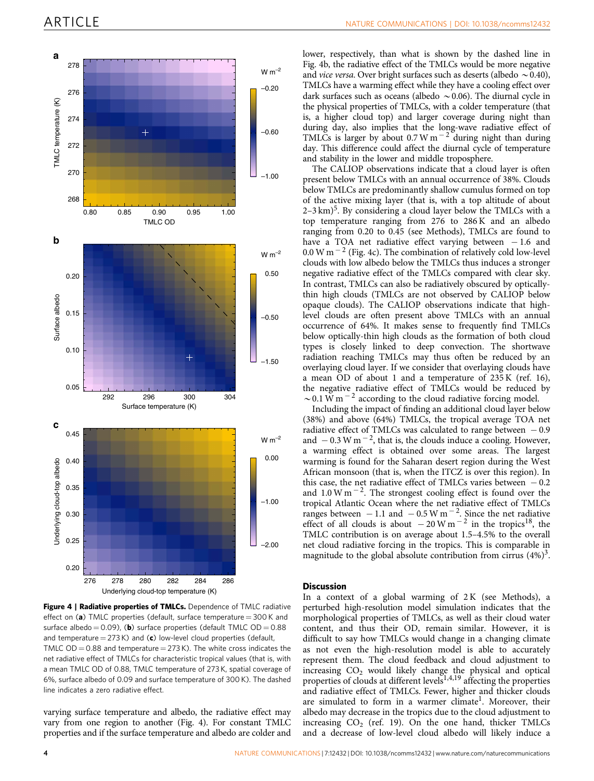<span id="page-3-0"></span>

Figure 4 | Radiative properties of TMLCs. Dependence of TMLC radiative effect on (a) TMLC properties (default, surface temperature =  $300$  K and surface albedo  $= 0.09$ ), (b) surface properties (default TMLC OD  $= 0.88$ and temperature =  $273$  K) and (c) low-level cloud properties (default, TMLC  $OD = 0.88$  and temperature  $= 273$  K). The white cross indicates the net radiative effect of TMLCs for characteristic tropical values (that is, with a mean TMLC OD of 0.88, TMLC temperature of 273 K, spatial coverage of 6%, surface albedo of 0.09 and surface temperature of 300 K). The dashed line indicates a zero radiative effect.

varying surface temperature and albedo, the radiative effect may vary from one region to another (Fig. 4). For constant TMLC properties and if the surface temperature and albedo are colder and lower, respectively, than what is shown by the dashed line in Fig. 4b, the radiative effect of the TMLCs would be more negative and *vice versa*. Over bright surfaces such as deserts (albedo  $\sim$  0.40), TMLCs have a warming effect while they have a cooling effect over dark surfaces such as oceans (albedo  $\sim 0.06$ ). The diurnal cycle in the physical properties of TMLCs, with a colder temperature (that is, a higher cloud top) and larger coverage during night than during day, also implies that the long-wave radiative effect of TMLCs is larger by about  $0.7 W m^{-2}$  during night than during day. This difference could affect the diurnal cycle of temperature and stability in the lower and middle troposphere.

The CALIOP observations indicate that a cloud layer is often present below TMLCs with an annual occurrence of 38%. Clouds below TMLCs are predominantly shallow cumulus formed on top of the active mixing layer (that is, with a top altitude of about  $2-3 \text{ km}$ <sup>[5](#page-4-0)</sup>. By considering a cloud layer below the TMLCs with a top temperature ranging from 276 to 286 K and an albedo ranging from 0.20 to 0.45 (see Methods), TMLCs are found to have a TOA net radiative effect varying between  $-1.6$  and  $0.0$  W m<sup>-2</sup> (Fig. 4c). The combination of relatively cold low-level clouds with low albedo below the TMLCs thus induces a stronger negative radiative effect of the TMLCs compared with clear sky. In contrast, TMLCs can also be radiatively obscured by opticallythin high clouds (TMLCs are not observed by CALIOP below opaque clouds). The CALIOP observations indicate that highlevel clouds are often present above TMLCs with an annual occurrence of 64%. It makes sense to frequently find TMLCs below optically-thin high clouds as the formation of both cloud types is closely linked to deep convection. The shortwave radiation reaching TMLCs may thus often be reduced by an overlaying cloud layer. If we consider that overlaying clouds have a mean OD of about 1 and a temperature of 235 K ([ref. 16](#page-4-0)), the negative radiative effect of TMLCs would be reduced by  $\sim$  0.1 W m<sup>-2</sup> according to the cloud radiative forcing model.

Including the impact of finding an additional cloud layer below (38%) and above (64%) TMLCs, the tropical average TOA net radiative effect of TMLCs was calculated to range between  $-0.9$ and  $-0.3$  W m<sup>-2</sup>, that is, the clouds induce a cooling. However, a warming effect is obtained over some areas. The largest warming is found for the Saharan desert region during the West African monsoon (that is, when the ITCZ is over this region). In this case, the net radiative effect of TMLCs varies between  $-0.2$ and  $1.0 \text{ W m}^{-2}$ . The strongest cooling effect is found over the tropical Atlantic Ocean where the net radiative effect of TMLCs ranges between  $-1.1$  and  $-0.5$  W m<sup>-2</sup>. Since the net radiative effect of all clouds is about  $-20$  W m<sup>-2</sup> in the tropics<sup>18</sup>, the TMLC contribution is on average about 1.5–4.5% to the overall net cloud radiative forcing in the tropics. This is comparable in magnitude to the global absolute contribution from cirrus  $(4\%)^3$ .

#### **Discussion**

In a context of a global warming of  $2K$  (see Methods), a perturbed high-resolution model simulation indicates that the morphological properties of TMLCs, as well as their cloud water content, and thus their OD, remain similar. However, it is difficult to say how TMLCs would change in a changing climate as not even the high-resolution model is able to accurately represent them. The cloud feedback and cloud adjustment to increasing  $CO<sub>2</sub>$  would likely change the physical and optical properties of clouds at different levels<sup>[1,4,19](#page-4-0)</sup> affecting the properties and radiative effect of TMLCs. Fewer, higher and thicker clouds are simulated to form in a warmer climate<sup>[1](#page-4-0)</sup>. Moreover, their albedo may decrease in the tropics due to the cloud adjustment to increasing  $CO<sub>2</sub>$  ([ref. 19\)](#page-4-0). On the one hand, thicker TMLCs and a decrease of low-level cloud albedo will likely induce a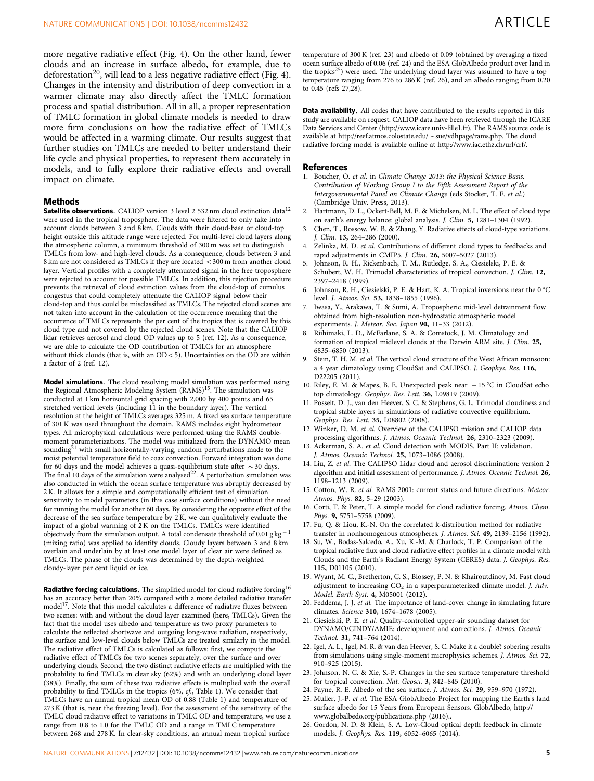<span id="page-4-0"></span>more negative radiative effect [\(Fig. 4\)](#page-3-0). On the other hand, fewer clouds and an increase in surface albedo, for example, due to deforestation<sup>20</sup>, will lead to a less negative radiative effect ([Fig. 4](#page-3-0)). Changes in the intensity and distribution of deep convection in a warmer climate may also directly affect the TMLC formation process and spatial distribution. All in all, a proper representation of TMLC formation in global climate models is needed to draw more firm conclusions on how the radiative effect of TMLCs would be affected in a warming climate. Our results suggest that further studies on TMLCs are needed to better understand their life cycle and physical properties, to represent them accurately in models, and to fully explore their radiative effects and overall impact on climate.

#### Methods

Satellite observations. CALIOP version 3 level 2 532 nm cloud extinction data<sup>12</sup> were used in the tropical troposphere. The data were filtered to only take into account clouds between 3 and 8 km. Clouds with their cloud-base or cloud-top height outside this altitude range were rejected. For multi-level cloud layers along the atmospheric column, a minimum threshold of 300 m was set to distinguish TMLCs from low- and high-level clouds. As a consequence, clouds between 3 and 8 km are not considered as TMLCs if they are located <300 m from another cloud layer. Vertical profiles with a completely attenuated signal in the free troposphere were rejected to account for possible TMLCs. In addition, this rejection procedure prevents the retrieval of cloud extinction values from the cloud-top of cumulus congestus that could completely attenuate the CALIOP signal below their cloud-top and thus could be misclassified as TMLCs. The rejected cloud scenes are not taken into account in the calculation of the occurrence meaning that the occurrence of TMLCs represents the per cent of the tropics that is covered by this cloud type and not covered by the rejected cloud scenes. Note that the CALIOP lidar retrieves aerosol and cloud OD values up to 5 (ref. 12). As a consequence, we are able to calculate the OD contribution of TMLCs for an atmosphere without thick clouds (that is, with an  $OD < 5$ ). Uncertainties on the OD are within a factor of 2 (ref. 12).

Model simulations. The cloud resolving model simulation was performed using the Regional Atmospheric Modeling System (RAMS)<sup>15</sup>. The simulation was conducted at 1 km horizontal grid spacing with 2,000 by 400 points and 65 stretched vertical levels (including 11 in the boundary layer). The vertical resolution at the height of TMLCs averages 325 m. A fixed sea surface temperature of 301 K was used throughout the domain. RAMS includes eight hydrometeor types. All microphysical calculations were performed using the RAMS doublemoment parameterizations. The model was initialized from the DYNAMO mean sounding<sup>21</sup> with small horizontally-varying, random perturbations made to the moist potential temperature field to coax convection. Forward integration was done for 60 days and the model achieves a quasi-equilibrium state after  $\sim$  30 days. The final 10 days of the simulation were analysed<sup>22</sup>. A perturbation simulation was also conducted in which the ocean surface temperature was abruptly decreased by 2 K. It allows for a simple and computationally efficient test of simulation sensitivity to model parameters (in this case surface conditions) without the need for running the model for another 60 days. By considering the opposite effect of the decrease of the sea surface temperature by 2 K, we can qualitatively evaluate the impact of a global warming of 2 K on the TMLCs. TMLCs were identified objectively from the simulation output. A total condensate threshold of 0.01 g kg<sup>-1</sup> (mixing ratio) was applied to identify clouds. Cloudy layers between 3 and 8 km overlain and underlain by at least one model layer of clear air were defined as TMLCs. The phase of the clouds was determined by the depth-weighted cloudy-layer per cent liquid or ice.

Radiative forcing calculations. The simplified model for cloud radiative forcing<sup>16</sup> has an accuracy better than 20% compared with a more detailed radiative transfer model<sup>17</sup>. Note that this model calculates a difference of radiative fluxes between two scenes: with and without the cloud layer examined (here, TMLCs). Given the fact that the model uses albedo and temperature as two proxy parameters to calculate the reflected shortwave and outgoing long-wave radiation, respectively, the surface and low-level clouds below TMLCs are treated similarly in the model. The radiative effect of TMLCs is calculated as follows: first, we compute the radiative effect of TMLCs for two scenes separately, over the surface and over underlying clouds. Second, the two distinct radiative effects are multiplied with the probability to find TMLCs in clear sky (62%) and with an underlying cloud layer (38%). Finally, the sum of these two radiative effects is multiplied with the overall probability to find TMLCs in the tropics (6%, cf., [Table 1](#page-2-0)). We consider that TMLCs have an annual tropical mean OD of 0.88 ([Table 1](#page-2-0)) and temperature of 273 K (that is, near the freezing level). For the assessment of the sensitivity of the TMLC cloud radiative effect to variations in TMLC OD and temperature, we use a range from 0.8 to 1.0 for the TMLC OD and a range in TMLC temperature between 268 and 278 K. In clear-sky conditions, an annual mean tropical surface

temperature of 300 K (ref. 23) and albedo of 0.09 (obtained by averaging a fixed ocean surface albedo of 0.06 (ref. 24) and the ESA GlobAlbedo product over land in the tropics<sup>25</sup>) were used. The underlying cloud layer was assumed to have a top temperature ranging from 276 to 286 K (ref. 26), and an albedo ranging from 0.20 to 0.45 ([refs 27,28\)](#page-5-0).

Data availability. All codes that have contributed to the results reported in this study are available on request. CALIOP data have been retrieved through the ICARE Data Services and Center ([http://www.icare.univ-lille1.fr\)](http://www.icare.univ-lille1.fr). The RAMS source code is available at [http://reef.atmos.colostate.edu/](http://reef.atmos.colostate.edu/~sue/vdhpage/rams.php)~sue/vdhpage/rams.php. The cloud radiative forcing model is available online at<http://www.iac.ethz.ch/url/crf/>.

#### References

- 1. Boucher, O. et al. in Climate Change 2013: the Physical Science Basis. Contribution of Working Group I to the Fifth Assessment Report of the Intergovernmental Panel on Climate Change (eds Stocker, T. F. et al.) (Cambridge Univ. Press, 2013).
- 2. Hartmann, D. L., Ockert-Bell, M. E. & Michelsen, M. L. The effect of cloud type on earth's energy balance: global analysis. J. Clim. 5, 1281–1304 (1992).
- 3. Chen, T., Rossow, W. B. & Zhang, Y. Radiative effects of cloud-type variations. J. Clim. 13, 264–286 (2000).
- Zelinka, M. D. et al. Contributions of different cloud types to feedbacks and rapid adjustments in CMIP5. *J. Clim.* **26**, 5007-5027 (2013).
- 5. Johnson, R. H., Rickenbach, T. M., Rutledge, S. A., Ciesielski, P. E. & Schubert, W. H. Trimodal characteristics of tropical convection. J. Clim. 12, 2397–2418 (1999).
- 6. Johnson, R. H., Ciesielski, P. E. & Hart, K. A. Tropical inversions near the  $0^{\circ}$ C level. J. Atmos. Sci. 53, 1838–1855 (1996).
- Iwasa, Y., Arakawa, T. & Sumi, A. Tropospheric mid-level detrainment flow obtained from high-resolution non-hydrostatic atmospheric model experiments. J. Meteor. Soc. Japan 90, 11–33 (2012).
- 8. Riihimaki, L. D., McFarlane, S. A. & Comstock, J. M. Climatology and formation of tropical midlevel clouds at the Darwin ARM site. J. Clim. 25, 6835–6850 (2013).
- 9. Stein, T. H. M. et al. The vertical cloud structure of the West African monsoon: a 4 year climatology using CloudSat and CALIPSO. J. Geophys. Res. 116, D22205 (2011).
- 10. Riley, E. M. & Mapes, B. E. Unexpected peak near  $-15^{\circ}$ C in CloudSat echo top climatology. Geophys. Res. Lett. 36, L09819 (2009).
- 11. Posselt, D. J., van den Heever, S. C. & Stephens, G. L. Trimodal cloudiness and tropical stable layers in simulations of radiative convective equilibrium. Geophys. Res. Lett. 35, L08802 (2008).
- 12. Winker, D. M. et al. Overview of the CALIPSO mission and CALIOP data processing algorithms. J. Atmos. Oceanic Technol. 26, 2310–2323 (2009).
- 13. Ackerman, S. A. et al. Cloud detection with MODIS. Part II: validation. J. Atmos. Oceanic Technol. 25, 1073–1086 (2008).
- 14. Liu, Z. et al. The CALIPSO Lidar cloud and aerosol discrimination: version 2 algorithm and initial assessment of performance. J. Atmos. Oceanic Technol. 26, 1198–1213 (2009).
- 15. Cotton, W. R. et al. RAMS 2001: current status and future directions. Meteor. Atmos. Phys. 82, 5–29 (2003).
- 16. Corti, T. & Peter, T. A simple model for cloud radiative forcing. Atmos. Chem. Phys. 9, 5751–5758 (2009).
- 17. Fu, Q. & Liou, K.-N. On the correlated k-distribution method for radiative transfer in nonhomogenous atmospheres. J. Atmos. Sci. 49, 2139–2156 (1992).
- 18. Su, W., Bodas-Salcedo, A., Xu, K.-M. & Charlock, T. P. Comparison of the tropical radiative flux and cloud radiative effect profiles in a climate model with Clouds and the Earth's Radiant Energy System (CERES) data. J. Geophys. Res. 115, D01105 (2010).
- 19. Wyant, M. C., Bretherton, C. S., Blossey, P. N. & Khairoutdinov, M. Fast cloud adjustment to increasing  $CO<sub>2</sub>$  in a superparameterized climate model. J. Adv. Model. Earth Syst. 4, M05001 (2012).
- 20. Feddema, J. J. et al. The importance of land-cover change in simulating future climates. Science 310, 1674–1678 (2005).
- 21. Ciesielski, P. E. et al. Quality-controlled upper-air sounding dataset for DYNAMO/CINDY/AMIE: development and corrections. J. Atmos. Oceanic Technol. 31, 741–764 (2014).
- 22. Igel, A. L., Igel, M. R. & van den Heever, S. C. Make it a double? sobering results from simulations using single-moment microphysics schemes. J. Atmos. Sci. 72, 910–925 (2015).
- 23. Johnson, N. C. & Xie, S.-P. Changes in the sea surface temperature threshold for tropical convection. Nat. Geosci. 3, 842-845 (2010)
- 24. Payne, R. E. Albedo of the sea surface. J. Atmos. Sci. 29, 959–970 (1972).
- 25. Muller, J.-P. et al. The ESA GlobAlbedo Project for mapping the Earth's land surface albedo for 15 Years from European Sensors. GlobAlbedo, http:// www.globalbedo.org/publications.php (2016)..
- 26. Gordon, N. D. & Klein, S. A. Low-Cloud optical depth feedback in climate models. J. Geophys. Res. 119, 6052–6065 (2014).